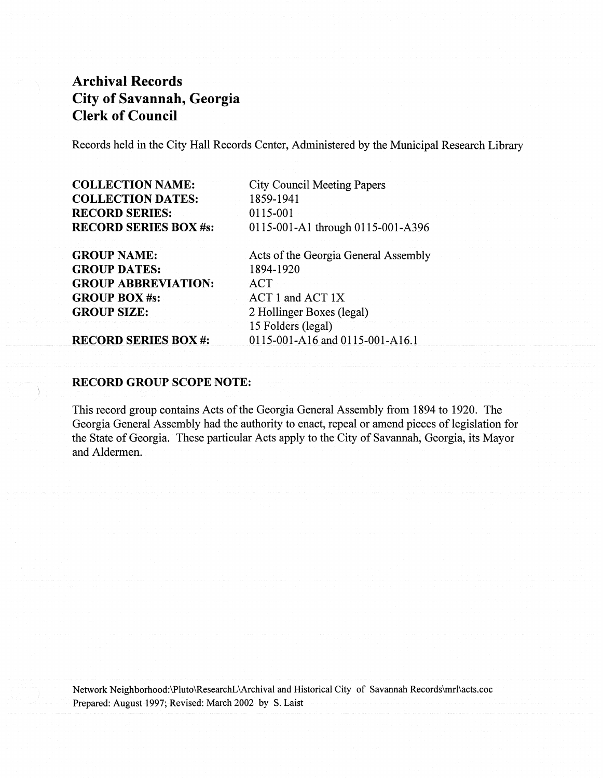Records held in the City Hall Records Center, Administered by the Municipal Research Library

COLLECTION NAME: COLLECTION DATES: RECORD SERIES: RECORD SERIES BOX #s:

GROUP NAME: GROUP DATES: GROUP ABBREVIATION: GROUP BOX#s: GROUP SIZE:

City Council Meeting Papers 1859-1941 0115-001 0115-001-A1 through 0115-001-A396

Acts of the Georgia General Assembly 1894-1920 ACT ACT 1 and ACT IX 2 Hollinger Boxes (legal) 15 Folders (legal) 0115-001-AI6 and 0115-001-AI6.1

RECORD SERIES BOX #:

### RECORD GROUP SCOPE NOTE:

This record group contains Acts of the Georgia General Assembly from 1894 to 1920. The Georgia General Assembly had the authority to enact, repeal or amend pieces of legislation for the State of Georgia. These particular Acts apply to the City of Savannah, Georgia, its Mayor and Aldermen.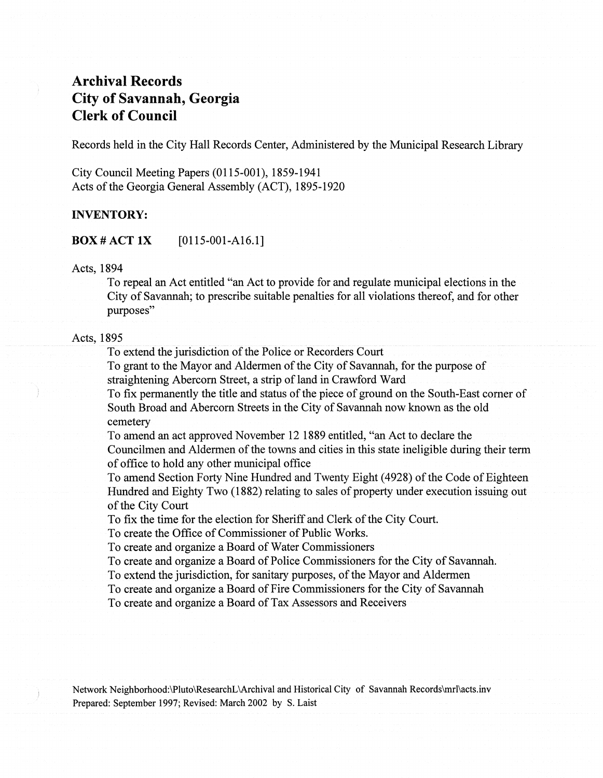Records held in the City Hall Records Center, Administered by the Municipal Research Library

City Council Meeting Papers (0115-001), 1859-1941 Acts of the Georgia General Assembly (ACT), 1895-1920

## **INVENTORY:**

BOX # ACT **IX** [0115-001-A16.1]

#### Acts, 1894

To repeal an Act entitled "an Act to provide for and regulate municipal elections in the City of Savannah; to prescribe suitable penalties for all violations thereof, and for other purposes"

## Acts, 1895

To extend the jurisdiction of the Police or Recorders Court

To grant to the Mayor and Aldermen of the City of Savannah, for the purpose of straightening Abercorn Street, a strip of land in Crawford Ward

To fix permanently the title and status of the piece of ground on the South-East corner of South Broad and Abercorn Streets in the City of Savannah now known as the old cemetery

To amend an act approved November 12 1889 entitled, "an Act to declare the Councilmen and Aldermen of the towns and cities in this state ineligible during their term of office to hold any other municipal office

To amend Section Forty Nine Hundred and Twenty Eight (4928) of the Code of Eighteen Hundred and Eighty Two (1882) relating to sales of property under execution issuing out of the City Court

To fix the time for the election for Sheriff and Clerk of the City Court.

To create the Office of Commissioner of Public Works.

To create and organize a Board of Water Commissioners

To create and organize a Board of Police Commissioners for the City of Savannah.

To extend the jurisdiction, for sanitary purposes, of the Mayor and Aldermen

To create and organize a Board of Fire Commissioners for the City of Savannah

To create and organize a Board of Tax Assessors and Receivers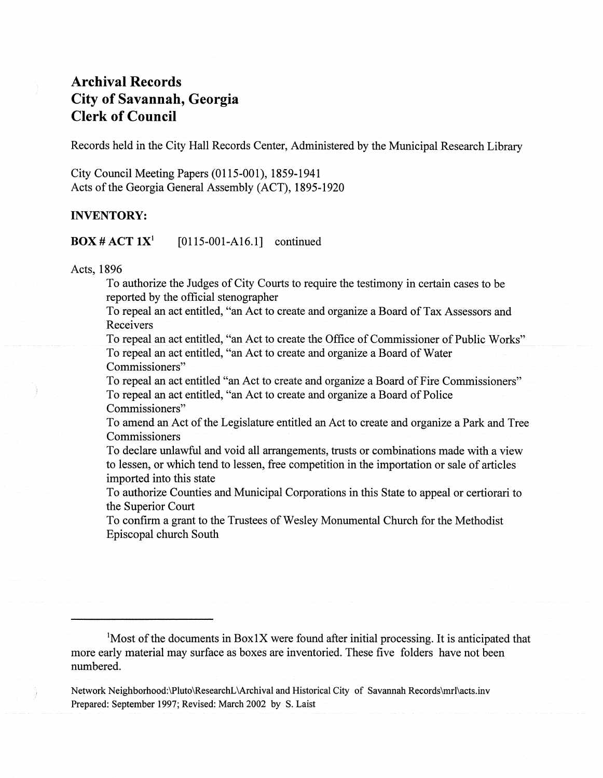Records held in the City Hall Records Center, Administered by the Municipal Research Library

City Council Meeting Papers (0115-001), 1859-1941 Acts of the Georgia General Assembly (ACT), 1895-1920

### INVENTORY:

**BOX # ACT 1X<sup>1</sup>** [0115-001-A16.1] continued

Acts, 1896

To authorize the Judges ofCity Courts to require the testimony in certain cases to be reported by the official stenographer

To repeal an act entitled, "an Act to create and organize a Board of Tax Assessors and Receivers

To repeal an act entitled, "an Act to create the Office of Commissioner of Public Works" To repeal an act entitled, "an Act to create and organize a Board of Water Commissioners"

To repeal an act entitled "an Act to create and organize a Board of Fire Commissioners" To repeal an act entitled, "an Act to create and organize a Board of Police Commissioners"

To amend an Act of the Legislature entitled an Act to create and organize a Park and Tree Commissioners

To declare unlawful and void all arrangements, trusts or combinations made with a view to lessen, or which tend to lessen, free competition in the importation or sale of articles imported into this state

To authorize Counties and Municipal Corporations in this State to appeal or certiorari to the Superior Court

To confirm a grant to the Trustees of Wesley Monumental Church for the Methodist Episcopal church South

<sup>1</sup>Most of the documents in Box1X were found after initial processing. It is anticipated that more early material may surface as boxes are inventoried. These five folders have not been numbered.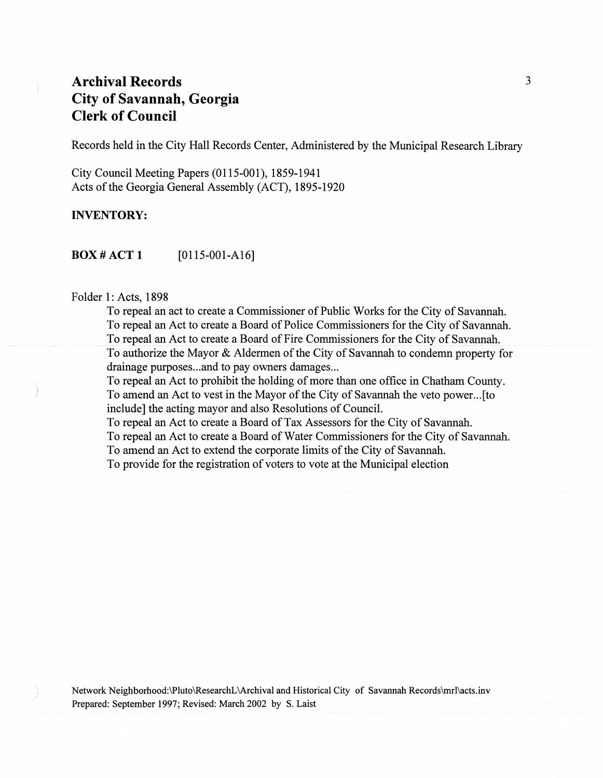Records held in the City Hall Records Center, Administered by the Municipal Research Library

City Council Meeting Papers (0115-001), 1859-1941 Acts of the Georgia General Assembly (ACT), 1895-1920

## **INVENTORY:**

**BOX # ACT 1** [0115-001-A16]

## Folder 1: Acts, 1898

To repeal an act to create a Commissioner of Public Works for the City of Savannah. To repeal an Act to create a Board of Police Commissioners for the City of Savannah. To repeal an Act to create a Board of Fire Commissioners for the City of Savannah. To authorize the Mayor & Aldermen of the City of Savannah to condemn property for drainage purposes...and to pay owners damages...

To repeal an Act to prohibit the holding of more than one office in Chatham County. To amend an Act to vest in the Mayor of the City of Savannah the veto power...[to include] the acting mayor and also Resolutions of Council.

To repeal an Act to create a Board of Tax Assessors for the City of Savannah. To repeal an Act to create a Board of Water Commissioners for the City of Savannah. To amend an Act to extend the corporate limits of the City of Savannah. To provide for the registration of voters to vote at the Municipal election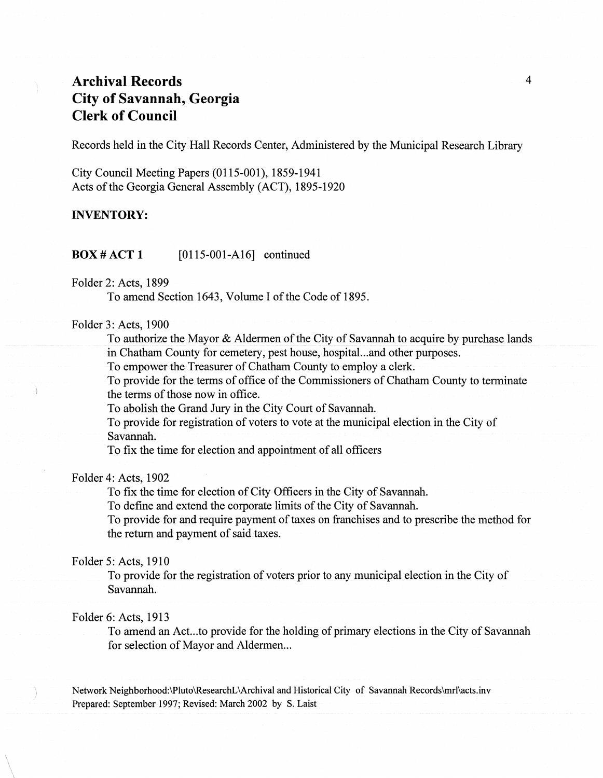Records held in the City Hall Records Center, Administered by the Municipal Research Library

City Council Meeting Papers (0115-001), 1859-1941 Acts of the Georgia General Assembly (ACT), 1895-1920

#### INVENTORY:

**BOX # ACT 1** [0115-001-A16] continued

#### Folder 2: Acts, 1899

To amend Section 1643, Volume I of the Code of 1895.

## Folder 3: Acts, 1900

To authorize the Mayor & Aldermen of the City of Savannah to acquire by purchase lands in Chatham County for cemetery, pest house, hospital...and other purposes.

To empower the Treasurer of Chatham County to employ a clerk.

To provide for the terms of office of the Commissioners of Chatham County to terminate the terms of those now in office.

To abolish the Grand Jury in the City Court of Savannah.

To provide for registration of voters to vote at the municipal election in the City of Savannah.

To fix the time for election and appointment of all officers

#### Folder 4: Acts, 1902

To fix the time for election of City Officers in the City of Savannah.

To define and extend the corporate limits of the City of Savannah.

To provide for and require payment of taxes on franchises and to prescribe the method for the return and payment of said taxes.

## Folder 5: Acts, 1910

To provide for the registration of voters prior to any municipal election in the City of Savannah.

## Folder 6: Acts, 1913

To amend an Act...to provide for the holding of primary elections in the City of Savannah for selection of Mayor and Aldermen...